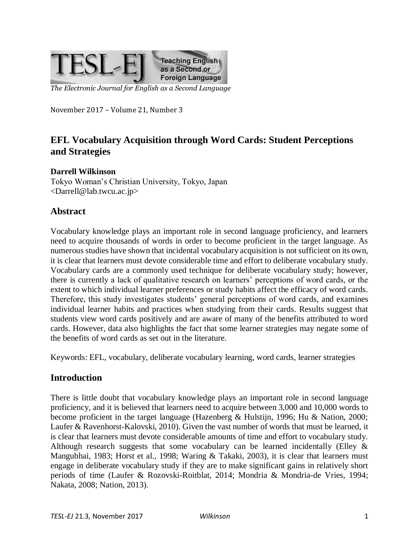

*The Electronic Journal for English as a Second Language*

November 2017 – Volume 21, Number 3

# **EFL Vocabulary Acquisition through Word Cards: Student Perceptions and Strategies**

#### **Darrell Wilkinson**

Tokyo Woman's Christian University, Tokyo, Japan <Darrell@lab.twcu.ac.jp>

## **Abstract**

Vocabulary knowledge plays an important role in second language proficiency, and learners need to acquire thousands of words in order to become proficient in the target language. As numerous studies have shown that incidental vocabulary acquisition is not sufficient on its own, it is clear that learners must devote considerable time and effort to deliberate vocabulary study. Vocabulary cards are a commonly used technique for deliberate vocabulary study; however, there is currently a lack of qualitative research on learners' perceptions of word cards, or the extent to which individual learner preferences or study habits affect the efficacy of word cards. Therefore, this study investigates students' general perceptions of word cards, and examines individual learner habits and practices when studying from their cards. Results suggest that students view word cards positively and are aware of many of the benefits attributed to word cards. However, data also highlights the fact that some learner strategies may negate some of the benefits of word cards as set out in the literature.

Keywords: EFL, vocabulary, deliberate vocabulary learning, word cards, learner strategies

#### **Introduction**

There is little doubt that vocabulary knowledge plays an important role in second language proficiency, and it is believed that learners need to acquire between 3,000 and 10,000 words to become proficient in the target language (Hazenberg & Hulstijn, 1996; Hu & Nation, 2000; Laufer & Ravenhorst-Kalovski, 2010). Given the vast number of words that must be learned, it is clear that learners must devote considerable amounts of time and effort to vocabulary study. Although research suggests that some vocabulary can be learned incidentally (Elley  $\&$ Mangubhai, 1983; Horst et al., 1998; Waring & Takaki, 2003), it is clear that learners must engage in deliberate vocabulary study if they are to make significant gains in relatively short periods of time (Laufer & Rozovski-Roitblat, 2014; Mondria & Mondria-de Vries, 1994; Nakata, 2008; Nation, 2013).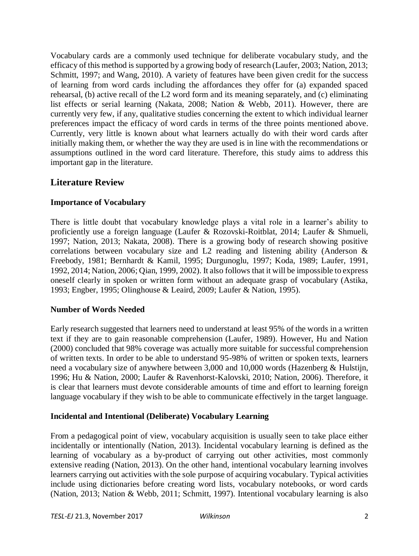Vocabulary cards are a commonly used technique for deliberate vocabulary study, and the efficacy of this method is supported by a growing body of research (Laufer, 2003; Nation, 2013; Schmitt, 1997; and Wang, 2010). A variety of features have been given credit for the success of learning from word cards including the affordances they offer for (a) expanded spaced rehearsal, (b) active recall of the L2 word form and its meaning separately, and (c) eliminating list effects or serial learning (Nakata, 2008; Nation & Webb, 2011). However, there are currently very few, if any, qualitative studies concerning the extent to which individual learner preferences impact the efficacy of word cards in terms of the three points mentioned above. Currently, very little is known about what learners actually do with their word cards after initially making them, or whether the way they are used is in line with the recommendations or assumptions outlined in the word card literature. Therefore, this study aims to address this important gap in the literature.

## **Literature Review**

## **Importance of Vocabulary**

There is little doubt that vocabulary knowledge plays a vital role in a learner's ability to proficiently use a foreign language (Laufer & Rozovski-Roitblat, 2014; Laufer & Shmueli, 1997; Nation, 2013; Nakata, 2008). There is a growing body of research showing positive correlations between vocabulary size and L2 reading and listening ability (Anderson & Freebody, 1981; Bernhardt & Kamil, 1995; Durgunoglu, 1997; Koda, 1989; Laufer, 1991, 1992, 2014; Nation, 2006; Qian, 1999, 2002). It also follows that it will be impossible to express oneself clearly in spoken or written form without an adequate grasp of vocabulary (Astika, 1993; Engber, 1995; Olinghouse & Leaird, 2009; Laufer & Nation, 1995).

#### **Number of Words Needed**

Early research suggested that learners need to understand at least 95% of the words in a written text if they are to gain reasonable comprehension (Laufer, 1989). However, Hu and Nation (2000) concluded that 98% coverage was actually more suitable for successful comprehension of written texts. In order to be able to understand 95-98% of written or spoken texts, learners need a vocabulary size of anywhere between 3,000 and 10,000 words (Hazenberg & Hulstijn, 1996; Hu & Nation, 2000; Laufer & Ravenhorst-Kalovski, 2010; Nation, 2006). Therefore, it is clear that learners must devote considerable amounts of time and effort to learning foreign language vocabulary if they wish to be able to communicate effectively in the target language.

#### **Incidental and Intentional (Deliberate) Vocabulary Learning**

From a pedagogical point of view, vocabulary acquisition is usually seen to take place either incidentally or intentionally (Nation, 2013). Incidental vocabulary learning is defined as the learning of vocabulary as a by-product of carrying out other activities, most commonly extensive reading (Nation, 2013). On the other hand, intentional vocabulary learning involves learners carrying out activities with the sole purpose of acquiring vocabulary. Typical activities include using dictionaries before creating word lists, vocabulary notebooks, or word cards (Nation, 2013; Nation & Webb, 2011; Schmitt, 1997). Intentional vocabulary learning is also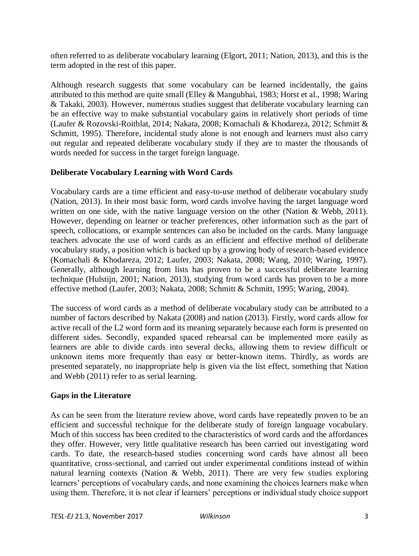often referred to as deliberate vocabulary learning (Elgort, 2011; Nation, 2013), and this is the term adopted in the rest of this paper.

Although research suggests that some vocabulary can be learned incidentally, the gains attributed to this method are quite small (Elley & Mangubhai, 1983; Horst et al., 1998; Waring & Takaki, 2003). However, numerous studies suggest that deliberate vocabulary learning can be an effective way to make substantial vocabulary gains in relatively short periods of time (Laufer & Rozovski-Roitblat, 2014; Nakata, 2008; Komachali & Khodareza, 2012; Schmitt & Schmitt, 1995). Therefore, incidental study alone is not enough and learners must also carry out regular and repeated deliberate vocabulary study if they are to master the thousands of words needed for success in the target foreign language.

## **Deliberate Vocabulary Learning with Word Cards**

Vocabulary cards are a time efficient and easy-to-use method of deliberate vocabulary study (Nation, 2013). In their most basic form, word cards involve having the target language word written on one side, with the native language version on the other (Nation & Webb, 2011). However, depending on learner or teacher preferences, other information such as the part of speech, collocations, or example sentences can also be included on the cards. Many language teachers advocate the use of word cards as an efficient and effective method of deliberate vocabulary study, a position which is backed up by a growing body of research-based evidence (Komachali & Khodareza, 2012; Laufer, 2003; Nakata, 2008; Wang, 2010; Waring, 1997). Generally, although learning from lists has proven to be a successful deliberate learning technique (Hulstijn, 2001; Nation, 2013), studying from word cards has proven to be a more effective method (Laufer, 2003; Nakata, 2008; Schmitt & Schmitt, 1995; Waring, 2004).

The success of word cards as a method of deliberate vocabulary study can be attributed to a number of factors described by Nakata (2008) and nation (2013). Firstly, word cards allow for active recall of the L2 word form and its meaning separately because each form is presented on different sides. Secondly, expanded spaced rehearsal can be implemented more easily as learners are able to divide cards into several decks, allowing them to review difficult or unknown items more frequently than easy or better-known items. Thirdly, as words are presented separately, no inappropriate help is given via the list effect, something that Nation and Webb (2011) refer to as serial learning.

#### **Gaps in the Literature**

As can be seen from the literature review above, word cards have repeatedly proven to be an efficient and successful technique for the deliberate study of foreign language vocabulary. Much of this success has been credited to the characteristics of word cards and the affordances they offer. However, very little qualitative research has been carried out investigating word cards. To date, the research-based studies concerning word cards have almost all been quantitative, cross-sectional, and carried out under experimental conditions instead of within natural learning contexts (Nation & Webb, 2011). There are very few studies exploring learners' perceptions of vocabulary cards, and none examining the choices learners make when using them. Therefore, it is not clear if learners' perceptions or individual study choice support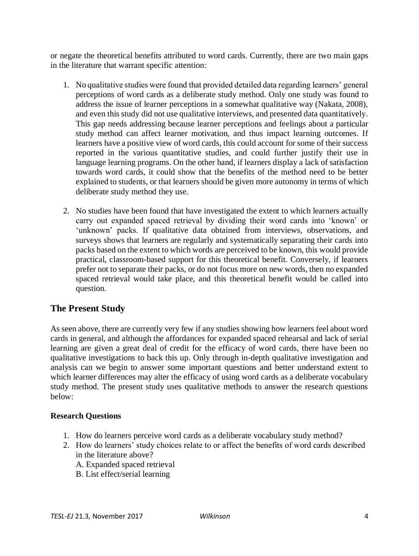or negate the theoretical benefits attributed to word cards. Currently, there are two main gaps in the literature that warrant specific attention:

- 1. No qualitative studies were found that provided detailed data regarding learners' general perceptions of word cards as a deliberate study method. Only one study was found to address the issue of learner perceptions in a somewhat qualitative way (Nakata, 2008), and even this study did not use qualitative interviews, and presented data quantitatively. This gap needs addressing because learner perceptions and feelings about a particular study method can affect learner motivation, and thus impact learning outcomes. If learners have a positive view of word cards, this could account for some of their success reported in the various quantitative studies, and could further justify their use in language learning programs. On the other hand, if learners display a lack of satisfaction towards word cards, it could show that the benefits of the method need to be better explained to students, or that learners should be given more autonomy in terms of which deliberate study method they use.
- 2. No studies have been found that have investigated the extent to which learners actually carry out expanded spaced retrieval by dividing their word cards into 'known' or 'unknown' packs. If qualitative data obtained from interviews, observations, and surveys shows that learners are regularly and systematically separating their cards into packs based on the extent to which words are perceived to be known, this would provide practical, classroom-based support for this theoretical benefit. Conversely, if learners prefer not to separate their packs, or do not focus more on new words, then no expanded spaced retrieval would take place, and this theoretical benefit would be called into question.

## **The Present Study**

As seen above, there are currently very few if any studies showing how learners feel about word cards in general, and although the affordances for expanded spaced rehearsal and lack of serial learning are given a great deal of credit for the efficacy of word cards, there have been no qualitative investigations to back this up. Only through in-depth qualitative investigation and analysis can we begin to answer some important questions and better understand extent to which learner differences may alter the efficacy of using word cards as a deliberate vocabulary study method. The present study uses qualitative methods to answer the research questions below:

#### **Research Questions**

- 1. How do learners perceive word cards as a deliberate vocabulary study method?
- 2. How do learners' study choices relate to or affect the benefits of word cards described in the literature above?
	- A. Expanded spaced retrieval
	- B. List effect/serial learning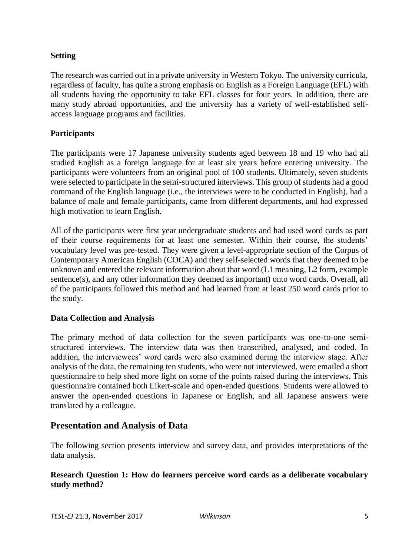#### **Setting**

The research was carried out in a private university in Western Tokyo. The university curricula, regardless of faculty, has quite a strong emphasis on English as a Foreign Language (EFL) with all students having the opportunity to take EFL classes for four years. In addition, there are many study abroad opportunities, and the university has a variety of well-established selfaccess language programs and facilities.

## **Participants**

The participants were 17 Japanese university students aged between 18 and 19 who had all studied English as a foreign language for at least six years before entering university. The participants were volunteers from an original pool of 100 students. Ultimately, seven students were selected to participate in the semi-structured interviews. This group of students had a good command of the English language (i.e., the interviews were to be conducted in English), had a balance of male and female participants, came from different departments, and had expressed high motivation to learn English.

All of the participants were first year undergraduate students and had used word cards as part of their course requirements for at least one semester. Within their course, the students' vocabulary level was pre-tested. They were given a level-appropriate section of the Corpus of Contemporary American English (COCA) and they self-selected words that they deemed to be unknown and entered the relevant information about that word (L1 meaning, L2 form, example sentence(s), and any other information they deemed as important) onto word cards. Overall, all of the participants followed this method and had learned from at least 250 word cards prior to the study.

#### **Data Collection and Analysis**

The primary method of data collection for the seven participants was one-to-one semistructured interviews. The interview data was then transcribed, analysed, and coded. In addition, the interviewees' word cards were also examined during the interview stage. After analysis of the data, the remaining ten students, who were not interviewed, were emailed a short questionnaire to help shed more light on some of the points raised during the interviews. This questionnaire contained both Likert-scale and open-ended questions. Students were allowed to answer the open-ended questions in Japanese or English, and all Japanese answers were translated by a colleague.

## **Presentation and Analysis of Data**

The following section presents interview and survey data, and provides interpretations of the data analysis.

#### **Research Question 1: How do learners perceive word cards as a deliberate vocabulary study method?**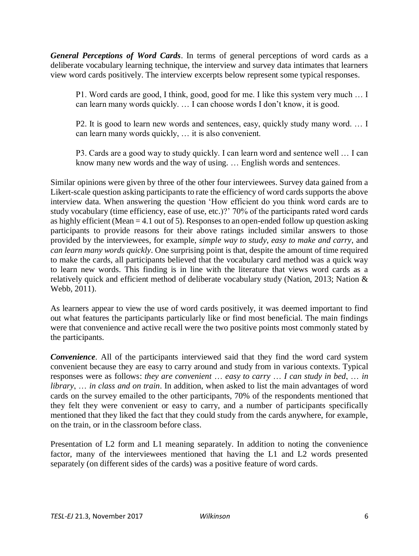*General Perceptions of Word Cards*. In terms of general perceptions of word cards as a deliberate vocabulary learning technique, the interview and survey data intimates that learners view word cards positively. The interview excerpts below represent some typical responses.

P1. Word cards are good, I think, good, good for me. I like this system very much … I can learn many words quickly. … I can choose words I don't know, it is good.

P2. It is good to learn new words and sentences, easy, quickly study many word. … I can learn many words quickly, … it is also convenient.

P3. Cards are a good way to study quickly. I can learn word and sentence well … I can know many new words and the way of using. … English words and sentences.

Similar opinions were given by three of the other four interviewees. Survey data gained from a Likert-scale question asking participants to rate the efficiency of word cards supports the above interview data. When answering the question 'How efficient do you think word cards are to study vocabulary (time efficiency, ease of use, etc.)?' 70% of the participants rated word cards as highly efficient (Mean = 4.1 out of 5). Responses to an open-ended follow up question asking participants to provide reasons for their above ratings included similar answers to those provided by the interviewees, for example, *simple way to study*, *easy to make and carry*, and *can learn many words quickly*. One surprising point is that, despite the amount of time required to make the cards, all participants believed that the vocabulary card method was a quick way to learn new words. This finding is in line with the literature that views word cards as a relatively quick and efficient method of deliberate vocabulary study (Nation, 2013; Nation & Webb, 2011).

As learners appear to view the use of word cards positively, it was deemed important to find out what features the participants particularly like or find most beneficial. The main findings were that convenience and active recall were the two positive points most commonly stated by the participants.

*Convenience*. All of the participants interviewed said that they find the word card system convenient because they are easy to carry around and study from in various contexts. Typical responses were as follows: *they are convenient* … *easy to carry* … *I can study in bed*, … *in library*, … *in class and on train*. In addition, when asked to list the main advantages of word cards on the survey emailed to the other participants, 70% of the respondents mentioned that they felt they were convenient or easy to carry, and a number of participants specifically mentioned that they liked the fact that they could study from the cards anywhere, for example, on the train, or in the classroom before class.

Presentation of L2 form and L1 meaning separately. In addition to noting the convenience factor, many of the interviewees mentioned that having the L1 and L2 words presented separately (on different sides of the cards) was a positive feature of word cards.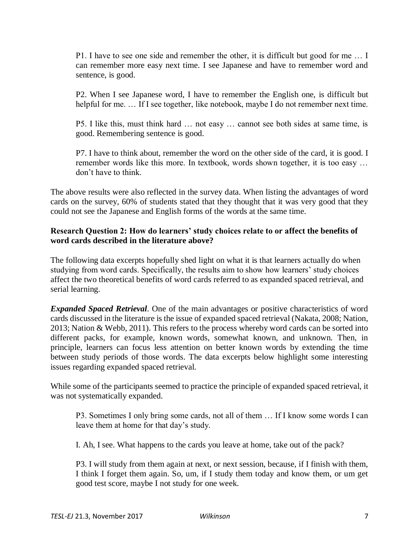P1. I have to see one side and remember the other, it is difficult but good for me … I can remember more easy next time. I see Japanese and have to remember word and sentence, is good.

P2. When I see Japanese word, I have to remember the English one, is difficult but helpful for me. ... If I see together, like notebook, maybe I do not remember next time.

P5. I like this, must think hard … not easy … cannot see both sides at same time, is good. Remembering sentence is good.

P7. I have to think about, remember the word on the other side of the card, it is good. I remember words like this more. In textbook, words shown together, it is too easy … don't have to think.

The above results were also reflected in the survey data. When listing the advantages of word cards on the survey, 60% of students stated that they thought that it was very good that they could not see the Japanese and English forms of the words at the same time.

#### **Research Question 2: How do learners' study choices relate to or affect the benefits of word cards described in the literature above?**

The following data excerpts hopefully shed light on what it is that learners actually do when studying from word cards. Specifically, the results aim to show how learners' study choices affect the two theoretical benefits of word cards referred to as expanded spaced retrieval, and serial learning.

*Expanded Spaced Retrieval*. One of the main advantages or positive characteristics of word cards discussed in the literature is the issue of expanded spaced retrieval (Nakata, 2008; Nation, 2013; Nation & Webb, 2011). This refers to the process whereby word cards can be sorted into different packs, for example, known words, somewhat known, and unknown. Then, in principle, learners can focus less attention on better known words by extending the time between study periods of those words. The data excerpts below highlight some interesting issues regarding expanded spaced retrieval.

While some of the participants seemed to practice the principle of expanded spaced retrieval, it was not systematically expanded.

P3. Sometimes I only bring some cards, not all of them … If I know some words I can leave them at home for that day's study.

I. Ah, I see. What happens to the cards you leave at home, take out of the pack?

P3. I will study from them again at next, or next session, because, if I finish with them, I think I forget them again. So, um, if I study them today and know them, or um get good test score, maybe I not study for one week.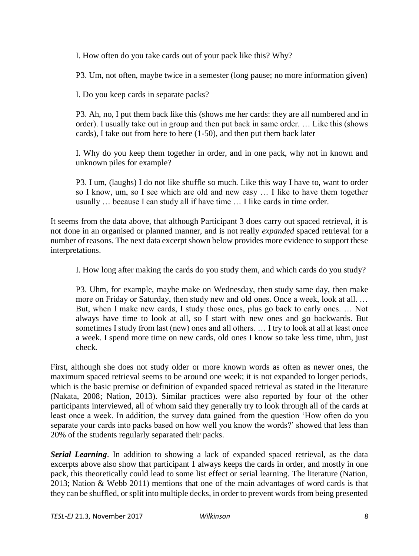I. How often do you take cards out of your pack like this? Why?

P3. Um, not often, maybe twice in a semester (long pause; no more information given)

I. Do you keep cards in separate packs?

P3. Ah, no, I put them back like this (shows me her cards: they are all numbered and in order). I usually take out in group and then put back in same order. … Like this (shows cards), I take out from here to here (1-50), and then put them back later

I. Why do you keep them together in order, and in one pack, why not in known and unknown piles for example?

P3. I um, (laughs) I do not like shuffle so much. Like this way I have to, want to order so I know, um, so I see which are old and new easy … I like to have them together usually … because I can study all if have time … I like cards in time order.

It seems from the data above, that although Participant 3 does carry out spaced retrieval, it is not done in an organised or planned manner, and is not really *expanded* spaced retrieval for a number of reasons. The next data excerpt shown below provides more evidence to support these interpretations.

I. How long after making the cards do you study them, and which cards do you study?

P3. Uhm, for example, maybe make on Wednesday, then study same day, then make more on Friday or Saturday, then study new and old ones. Once a week, look at all. … But, when I make new cards, I study those ones, plus go back to early ones. … Not always have time to look at all, so I start with new ones and go backwards. But sometimes I study from last (new) ones and all others. … I try to look at all at least once a week. I spend more time on new cards, old ones I know so take less time, uhm, just check.

First, although she does not study older or more known words as often as newer ones, the maximum spaced retrieval seems to be around one week; it is not expanded to longer periods, which is the basic premise or definition of expanded spaced retrieval as stated in the literature (Nakata, 2008; Nation, 2013). Similar practices were also reported by four of the other participants interviewed, all of whom said they generally try to look through all of the cards at least once a week. In addition, the survey data gained from the question 'How often do you separate your cards into packs based on how well you know the words?' showed that less than 20% of the students regularly separated their packs.

*Serial Learning*. In addition to showing a lack of expanded spaced retrieval, as the data excerpts above also show that participant 1 always keeps the cards in order, and mostly in one pack, this theoretically could lead to some list effect or serial learning. The literature (Nation, 2013; Nation & Webb 2011) mentions that one of the main advantages of word cards is that they can be shuffled, or split into multiple decks, in order to prevent words from being presented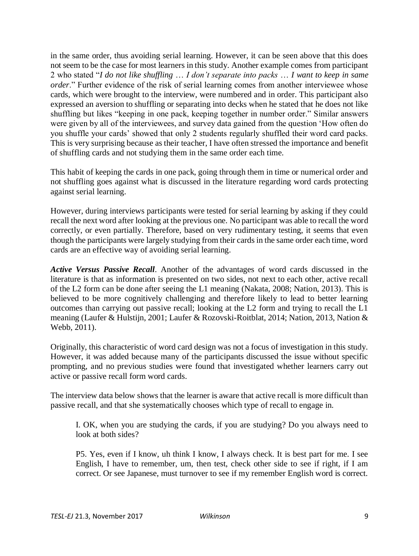in the same order, thus avoiding serial learning. However, it can be seen above that this does not seem to be the case for most learners in this study. Another example comes from participant 2 who stated "*I do not like shuffling* … *I don't separate into packs* … *I want to keep in same order*." Further evidence of the risk of serial learning comes from another interviewee whose cards, which were brought to the interview, were numbered and in order. This participant also expressed an aversion to shuffling or separating into decks when he stated that he does not like shuffling but likes "keeping in one pack, keeping together in number order." Similar answers were given by all of the interviewees, and survey data gained from the question 'How often do you shuffle your cards' showed that only 2 students regularly shuffled their word card packs. This is very surprising because as their teacher, I have often stressed the importance and benefit of shuffling cards and not studying them in the same order each time.

This habit of keeping the cards in one pack, going through them in time or numerical order and not shuffling goes against what is discussed in the literature regarding word cards protecting against serial learning.

However, during interviews participants were tested for serial learning by asking if they could recall the next word after looking at the previous one. No participant was able to recall the word correctly, or even partially. Therefore, based on very rudimentary testing, it seems that even though the participants were largely studying from their cards in the same order each time, word cards are an effective way of avoiding serial learning.

*Active Versus Passive Recall*. Another of the advantages of word cards discussed in the literature is that as information is presented on two sides, not next to each other, active recall of the L2 form can be done after seeing the L1 meaning (Nakata, 2008; Nation, 2013). This is believed to be more cognitively challenging and therefore likely to lead to better learning outcomes than carrying out passive recall; looking at the L2 form and trying to recall the L1 meaning (Laufer & Hulstijn, 2001; Laufer & Rozovski-Roitblat, 2014; Nation, 2013, Nation & Webb, 2011).

Originally, this characteristic of word card design was not a focus of investigation in this study. However, it was added because many of the participants discussed the issue without specific prompting, and no previous studies were found that investigated whether learners carry out active or passive recall form word cards.

The interview data below shows that the learner is aware that active recall is more difficult than passive recall, and that she systematically chooses which type of recall to engage in.

I. OK, when you are studying the cards, if you are studying? Do you always need to look at both sides?

P5. Yes, even if I know, uh think I know, I always check. It is best part for me. I see English, I have to remember, um, then test, check other side to see if right, if I am correct. Or see Japanese, must turnover to see if my remember English word is correct.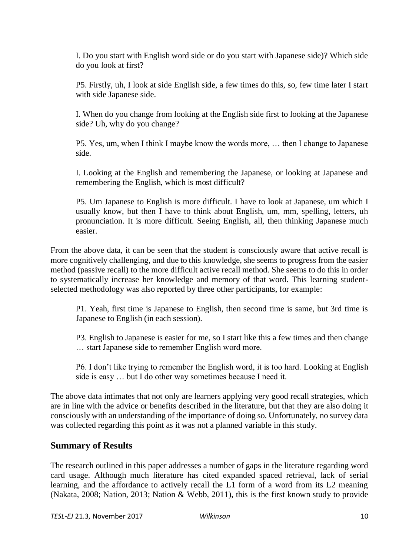I. Do you start with English word side or do you start with Japanese side)? Which side do you look at first?

P5. Firstly, uh, I look at side English side, a few times do this, so, few time later I start with side Japanese side.

I. When do you change from looking at the English side first to looking at the Japanese side? Uh, why do you change?

P5. Yes, um, when I think I maybe know the words more, … then I change to Japanese side.

I. Looking at the English and remembering the Japanese, or looking at Japanese and remembering the English, which is most difficult?

P5. Um Japanese to English is more difficult. I have to look at Japanese, um which I usually know, but then I have to think about English, um, mm, spelling, letters, uh pronunciation. It is more difficult. Seeing English, all, then thinking Japanese much easier.

From the above data, it can be seen that the student is consciously aware that active recall is more cognitively challenging, and due to this knowledge, she seems to progress from the easier method (passive recall) to the more difficult active recall method. She seems to do this in order to systematically increase her knowledge and memory of that word. This learning studentselected methodology was also reported by three other participants, for example:

P1. Yeah, first time is Japanese to English, then second time is same, but 3rd time is Japanese to English (in each session).

P3. English to Japanese is easier for me, so I start like this a few times and then change … start Japanese side to remember English word more.

P6. I don't like trying to remember the English word, it is too hard. Looking at English side is easy … but I do other way sometimes because I need it.

The above data intimates that not only are learners applying very good recall strategies, which are in line with the advice or benefits described in the literature, but that they are also doing it consciously with an understanding of the importance of doing so. Unfortunately, no survey data was collected regarding this point as it was not a planned variable in this study.

## **Summary of Results**

The research outlined in this paper addresses a number of gaps in the literature regarding word card usage. Although much literature has cited expanded spaced retrieval, lack of serial learning, and the affordance to actively recall the L1 form of a word from its L2 meaning (Nakata, 2008; Nation, 2013; Nation & Webb, 2011), this is the first known study to provide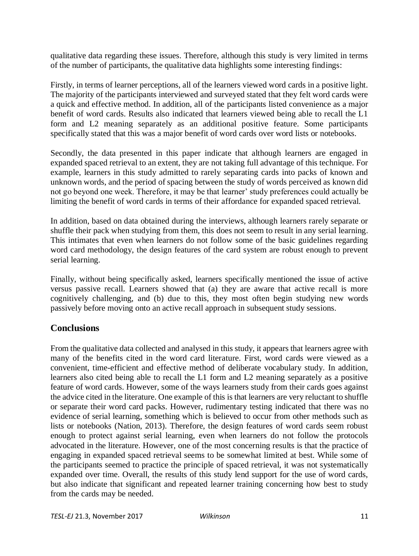qualitative data regarding these issues. Therefore, although this study is very limited in terms of the number of participants, the qualitative data highlights some interesting findings:

Firstly, in terms of learner perceptions, all of the learners viewed word cards in a positive light. The majority of the participants interviewed and surveyed stated that they felt word cards were a quick and effective method. In addition, all of the participants listed convenience as a major benefit of word cards. Results also indicated that learners viewed being able to recall the L1 form and L2 meaning separately as an additional positive feature. Some participants specifically stated that this was a major benefit of word cards over word lists or notebooks.

Secondly, the data presented in this paper indicate that although learners are engaged in expanded spaced retrieval to an extent, they are not taking full advantage of this technique. For example, learners in this study admitted to rarely separating cards into packs of known and unknown words, and the period of spacing between the study of words perceived as known did not go beyond one week. Therefore, it may be that learner' study preferences could actually be limiting the benefit of word cards in terms of their affordance for expanded spaced retrieval.

In addition, based on data obtained during the interviews, although learners rarely separate or shuffle their pack when studying from them, this does not seem to result in any serial learning. This intimates that even when learners do not follow some of the basic guidelines regarding word card methodology, the design features of the card system are robust enough to prevent serial learning.

Finally, without being specifically asked, learners specifically mentioned the issue of active versus passive recall. Learners showed that (a) they are aware that active recall is more cognitively challenging, and (b) due to this, they most often begin studying new words passively before moving onto an active recall approach in subsequent study sessions.

## **Conclusions**

From the qualitative data collected and analysed in this study, it appears that learners agree with many of the benefits cited in the word card literature. First, word cards were viewed as a convenient, time-efficient and effective method of deliberate vocabulary study. In addition, learners also cited being able to recall the L1 form and L2 meaning separately as a positive feature of word cards. However, some of the ways learners study from their cards goes against the advice cited in the literature. One example of this is that learners are very reluctant to shuffle or separate their word card packs. However, rudimentary testing indicated that there was no evidence of serial learning, something which is believed to occur from other methods such as lists or notebooks (Nation, 2013). Therefore, the design features of word cards seem robust enough to protect against serial learning, even when learners do not follow the protocols advocated in the literature. However, one of the most concerning results is that the practice of engaging in expanded spaced retrieval seems to be somewhat limited at best. While some of the participants seemed to practice the principle of spaced retrieval, it was not systematically expanded over time. Overall, the results of this study lend support for the use of word cards, but also indicate that significant and repeated learner training concerning how best to study from the cards may be needed.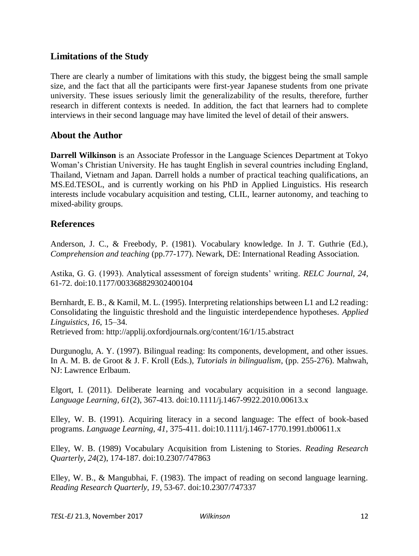## **Limitations of the Study**

There are clearly a number of limitations with this study, the biggest being the small sample size, and the fact that all the participants were first-year Japanese students from one private university. These issues seriously limit the generalizability of the results, therefore, further research in different contexts is needed. In addition, the fact that learners had to complete interviews in their second language may have limited the level of detail of their answers.

## **About the Author**

**Darrell Wilkinson** is an Associate Professor in the Language Sciences Department at Tokyo Woman's Christian University. He has taught English in several countries including England, Thailand, Vietnam and Japan. Darrell holds a number of practical teaching qualifications, an MS.Ed.TESOL, and is currently working on his PhD in Applied Linguistics. His research interests include vocabulary acquisition and testing, CLIL, learner autonomy, and teaching to mixed-ability groups.

## **References**

Anderson, J. C., & Freebody, P. (1981). Vocabulary knowledge. In J. T. Guthrie (Ed.), *Comprehension and teaching* (pp.77-177). Newark, DE: International Reading Association.

Astika, G. G. (1993). Analytical assessment of foreign students' writing. *RELC Journal, 24*, 61-72. doi:10.1177/003368829302400104

Bernhardt, E. B., & Kamil, M. L. (1995). Interpreting relationships between L1 and L2 reading: Consolidating the linguistic threshold and the linguistic interdependence hypotheses. *Applied Linguistics, 16*, 15–34. Retrieved from:<http://applij.oxfordjournals.org/content/16/1/15.abstract>

Durgunoglu, A. Y. (1997). Bilingual reading: Its components, development, and other issues. In A. M. B. de Groot & J. F. Kroll (Eds.), *Tutorials in bilingualism*, (pp. 255-276). Mahwah, NJ: Lawrence Erlbaum.

Elgort, I. (2011). Deliberate learning and vocabulary acquisition in a second language. *Language Learning, 61*(2), 367-413. doi:10.1111/j.1467-9922.2010.00613.x

Elley, W. B. (1991). Acquiring literacy in a second language: The effect of book-based programs. *Language Learning, 41*, 375-411. doi:10.1111/j.1467-1770.1991.tb00611.x

Elley, W. B. (1989) Vocabulary Acquisition from Listening to Stories. *Reading Research Quarterly, 24*(2), 174-187. doi:10.2307/747863

Elley, W. B., & Mangubhai, F. (1983). The impact of reading on second language learning. *Reading Research Quarterly, 19*, 53-67. doi:10.2307/747337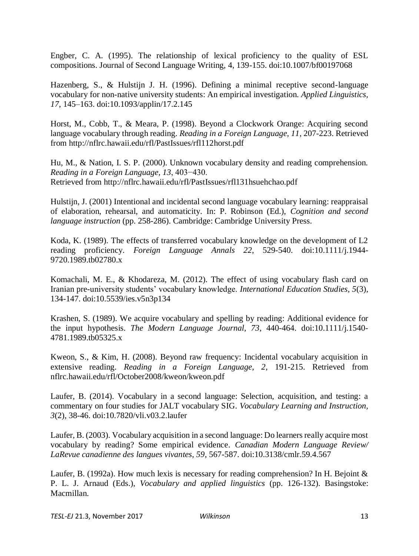Engber, C. A. (1995). The relationship of lexical proficiency to the quality of ESL compositions. Journal of Second Language Writing, 4, 139-155. doi:10.1007/bf00197068

Hazenberg, S., & Hulstijn J. H. (1996). Defining a minimal receptive second-language vocabulary for non-native university students: An empirical investigation. *Applied Linguistics, 17*, 145–163. doi:10.1093/applin/17.2.145

Horst, M., Cobb, T., & Meara, P. (1998). Beyond a Clockwork Orange: Acquiring second language vocabulary through reading. *Reading in a Foreign Language, 11*, 207-223. Retrieved from http://nflrc.hawaii.edu/rfl/PastIssues/rfl112horst.pdf

Hu, M., & Nation, I. S. P. (2000). Unknown vocabulary density and reading comprehension. *Reading in a Foreign Language, 13*, 403−430. Retrieved from http://nflrc.hawaii.edu/rfl/PastIssues/rfl131hsuehchao.pdf

Hulstijn, J. (2001) Intentional and incidental second language vocabulary learning: reappraisal of elaboration, rehearsal, and automaticity. In: P. Robinson (Ed.), *Cognition and second language instruction* (pp. 258-286). Cambridge: Cambridge University Press.

Koda, K. (1989). The effects of transferred vocabulary knowledge on the development of L2 reading proficiency. *Foreign Language Annals 22*, 529-540. doi:10.1111/j.1944- 9720.1989.tb02780.x

Komachali, M. E., & Khodareza, M. (2012). The effect of using vocabulary flash card on Iranian pre-university students' vocabulary knowledge. *International Education Studies, 5*(3), 134-147. doi:10.5539/ies.v5n3p134

Krashen, S. (1989). We acquire vocabulary and spelling by reading: Additional evidence for the input hypothesis. *The Modern Language Journal, 73*, 440-464. doi:10.1111/j.1540- 4781.1989.tb05325.x

Kweon, S., & Kim, H. (2008). Beyond raw frequency: Incidental vocabulary acquisition in extensive reading. *Reading in a Foreign Language, 2*, 191-215. Retrieved from nflrc.hawaii.edu/rfl/October2008/kweon/kweon.pdf

Laufer, B. (2014). Vocabulary in a second language: Selection, acquisition, and testing: a commentary on four studies for JALT vocabulary SIG. *Vocabulary Learning and Instruction, 3*(2), 38-46. doi:10.7820/vli.v03.2.laufer

Laufer, B. (2003). Vocabulary acquisition in a second language: Do learners really acquire most vocabulary by reading? Some empirical evidence. *Canadian Modern Language Review/ LaRevue canadienne des langues vivantes, 59*, 567-587. doi:10.3138/cmlr.59.4.567

Laufer, B. (1992a). How much lexis is necessary for reading comprehension? In H. Bejoint  $\&$ P. L. J. Arnaud (Eds.), *Vocabulary and applied linguistics* (pp. 126-132). Basingstoke: Macmillan.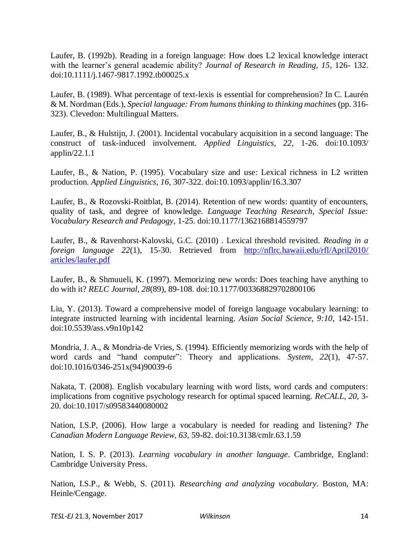Laufer, B. (1992b). Reading in a foreign language: How does L2 lexical knowledge interact with the learner's general academic ability? *Journal of Research in Reading, 15*, 126- 132. doi:10.1111/j.1467-9817.1992.tb00025.x

Laufer, B. (1989). What percentage of text-lexis is essential for comprehension? In C. Laurén & M. Nordman (Eds.), *Special language: From humans thinking to thinking machines* (pp. 316- 323). Clevedon: Multilingual Matters.

Laufer, B., & Hulstijn, J. (2001). Incidental vocabulary acquisition in a second language: The construct of task-induced involvement. *Applied Linguistics, 22*, 1-26. doi:10.1093/ applin/22.1.1

Laufer, B., & Nation, P. (1995). Vocabulary size and use: Lexical richness in L2 written production. *Applied Linguistics, 16*, 307-322. doi:10.1093/applin/16.3.307

Laufer, B., & Rozovski-Roitblat, B. (2014). Retention of new words: quantity of encounters, quality of task, and degree of knowledge. *Language Teaching Research, Special Issue: Vocabulary Research and Pedagogy*, 1-25. doi:10.1177/1362168814559797

Laufer, B., & Ravenhorst-Kalovski, G.C. (2010) . Lexical threshold revisited. *Reading in a foreign language 22*(1), 15-30. Retrieved from [http://nflrc.hawaii.edu/rfl/April2010/](http://nflrc.hawaii.edu/rfl/April2010/%20articles/laufer.pdf)  [articles/laufer.pdf](http://nflrc.hawaii.edu/rfl/April2010/%20articles/laufer.pdf)

Laufer, B., & Shmuueli, K. (1997). Memorizing new words: Does teaching have anything to do with it? *RELC Journal, 28*(89), 89-108. doi:10.1177/003368829702800106

Liu, Y. (2013). Toward a comprehensive model of foreign language vocabulary learning: to integrate instructed learning with incidental learning. *Asian Social Science, 9:10*, 142-151. doi:10.5539/ass.v9n10p142

Mondria, J. A., & Mondria-de Vries, S. (1994). Efficiently memorizing words with the help of word cards and "hand computer": Theory and applications. *System, 22*(1), 47-57. doi:10.1016/0346-251x(94)90039-6

Nakata, T. (2008). English vocabulary learning with word lists, word cards and computers: implications from cognitive psychology research for optimal spaced learning. *ReCALL, 20*, 3- 20. doi:10.1017/s09583440080002

Nation, I.S.P, (2006). How large a vocabulary is needed for reading and listening? *The Canadian Modern Language Review, 63*, 59-82. doi:10.3138/cmlr.63.1.59

Nation, I. S. P. (2013). *Learning vocabulary in another language*. Cambridge, England: Cambridge University Press.

Nation, I.S.P., & Webb, S. (2011). *Researching and analyzing vocabulary*. Boston, MA: Heinle/Cengage.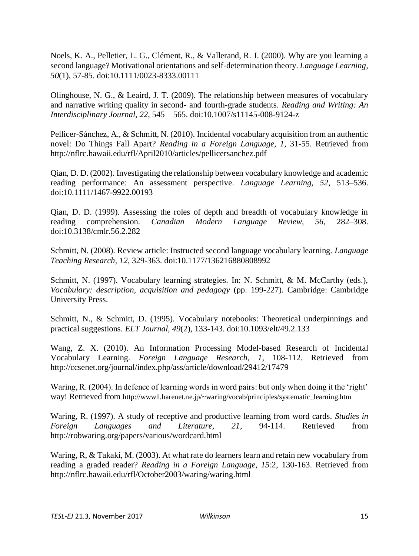Noels, K. A., Pelletier, L. G., Clément, R., & Vallerand, R. J. (2000). Why are you learning a second language? Motivational orientations and self‐determination theory. *Language Learning, 50*(1), 57-85. doi:10.1111/0023-8333.00111

Olinghouse, N. G., & Leaird, J. T. (2009). The relationship between measures of vocabulary and narrative writing quality in second- and fourth-grade students. *Reading and Writing: An Interdisciplinary Journal, 22*, 545 – 565. doi:10.1007/s11145-008-9124-z

Pellicer-Sánchez, A., & Schmitt, N. (2010). Incidental vocabulary acquisition from an authentic novel: Do Things Fall Apart? *Reading in a Foreign Language, 1*, 31-55. Retrieved from <http://nflrc.hawaii.edu/rfl/April2010/articles/pellicersanchez.pdf>

Qian, D. D. (2002). Investigating the relationship between vocabulary knowledge and academic reading performance: An assessment perspective. *Language Learning, 52*, 513–536. doi:10.1111/1467-9922.00193

Qian, D. D. (1999). Assessing the roles of depth and breadth of vocabulary knowledge in reading comprehension. *Canadian Modern Language Review, 56*, 282–308. doi:10.3138/cmlr.56.2.282

Schmitt, N. (2008). Review article: Instructed second language vocabulary learning. *Language Teaching Research, 12*, 329-363. doi:10.1177/136216880808992

Schmitt, N. (1997). Vocabulary learning strategies. In: N. Schmitt, & M. McCarthy (eds.), *Vocabulary: description, acquisition and pedagogy* (pp. 199-227). Cambridge: Cambridge University Press.

Schmitt, N., & Schmitt, D. (1995). Vocabulary notebooks: Theoretical underpinnings and practical suggestions. *ELT Journal, 49*(2), 133-143. doi:10.1093/elt/49.2.133

Wang, Z. X. (2010). An Information Processing Model-based Research of Incidental Vocabulary Learning. *Foreign Language Research, 1*, 108-112. Retrieved from [http://ccsenet.org/journal/index.php/ass/article/download/29412/17479](http://www.ccsenet.org/journal/index.php/ass/article/download/29412/17479)

Waring, R. (2004). In defence of learning words in word pairs: but only when doing it the 'right' way! Retrieved from [http://www1.harenet.ne.jp/~waring/vocab/principles/systematic\\_learning.htm](http://www1.harenet.ne.jp/~waring/vocab/principles/systematic_learning.htm)

Waring, R. (1997). A study of receptive and productive learning from word cards. *Studies in Foreign Languages and Literature, 21*, 94-114. Retrieved from [http://robwaring.org/papers/various/wordcard.html](http://www.robwaring.org/papers/various/wordcard.html)

Waring, R, & Takaki, M. (2003). At what rate do learners learn and retain new vocabulary from reading a graded reader? *Reading in a Foreign Language, 15*:2, 130-163. Retrieved from <http://nflrc.hawaii.edu/rfl/October2003/waring/waring.html>